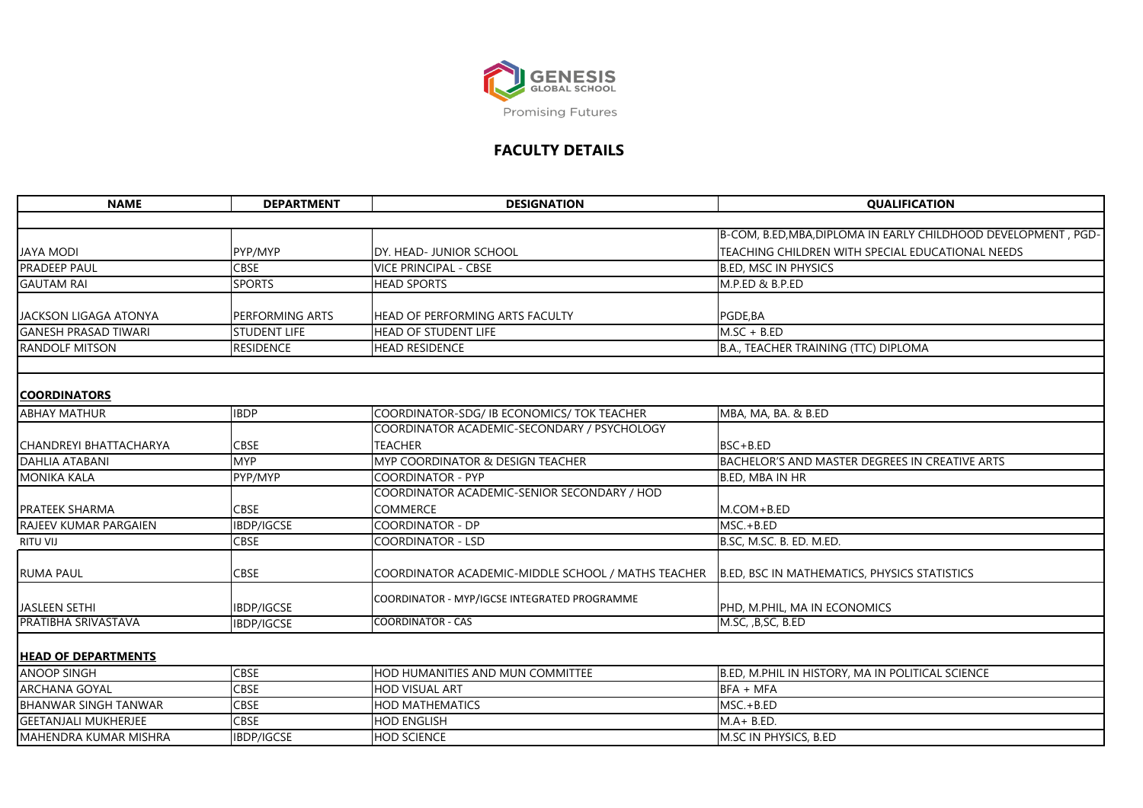| <b>NAME</b>                   | <b>DEPARTMENT</b>   | <b>DESIGNATION</b>                                                                        | <b>QUALIFICA</b>                          |
|-------------------------------|---------------------|-------------------------------------------------------------------------------------------|-------------------------------------------|
|                               |                     |                                                                                           |                                           |
|                               |                     |                                                                                           | B-COM, B.ED, MBA, DIPLOMA IN EARLY CI     |
| <b>JAYA MODI</b>              | PYP/MYP             | DY. HEAD- JUNIOR SCHOOL                                                                   | <b>TEACHING CHILDREN WITH SPECIAL EDU</b> |
| <b>PRADEEP PAUL</b>           | <b>CBSE</b>         | <b>VICE PRINCIPAL - CBSE</b>                                                              | <b>B.ED, MSC IN PHYSICS</b>               |
| <b>GAUTAM RAI</b>             | <b>SPORTS</b>       | <b>HEAD SPORTS</b>                                                                        | M.P.ED & B.P.ED                           |
| JACKSON LIGAGA ATONYA         | PERFORMING ARTS     | <b>HEAD OF PERFORMING ARTS FACULTY</b>                                                    | PGDE,BA                                   |
| <b>GANESH PRASAD TIWARI</b>   | <b>STUDENT LIFE</b> | <b>HEAD OF STUDENT LIFE</b>                                                               | $M.SC + B.ED$                             |
| <b>RANDOLF MITSON</b>         | <b>RESIDENCE</b>    | <b>HEAD RESIDENCE</b>                                                                     | B.A., TEACHER TRAINING (TTC) DIPLOMA      |
| <b>COORDINATORS</b>           |                     |                                                                                           |                                           |
| <b>ABHAY MATHUR</b>           | <b>IBDP</b>         | COORDINATOR-SDG/ IB ECONOMICS/ TOK TEACHER                                                | MBA, MA, BA. & B.ED                       |
|                               |                     | COORDINATOR ACADEMIC-SECONDARY / PSYCHOLOGY                                               |                                           |
| <b>CHANDREYI BHATTACHARYA</b> | <b>CBSE</b>         | TEACHER                                                                                   | BSC+B.ED                                  |
| <b>DAHLIA ATABANI</b>         | <b>MYP</b>          | <b>MYP COORDINATOR &amp; DESIGN TEACHER</b>                                               | BACHELOR'S AND MASTER DEGREES IN (        |
| <b>MONIKA KALA</b>            | PYP/MYP             | <b>COORDINATOR - PYP</b>                                                                  | <b>B.ED, MBA IN HR</b>                    |
|                               |                     | COORDINATOR ACADEMIC-SENIOR SECONDARY / HOD                                               |                                           |
| <b>PRATEEK SHARMA</b>         | <b>CBSE</b>         | <b>COMMERCE</b>                                                                           | $M_{\cdot}COM + B_{\cdot}ED$              |
| RAJEEV KUMAR PARGAIEN         | IBDP/IGCSE          | <b>COORDINATOR - DP</b>                                                                   | $MSC.+BED$                                |
| <b>RITU VIJ</b>               | <b>CBSE</b>         | <b>COORDINATOR - LSD</b>                                                                  | B.SC, M.SC. B. ED. M.ED.                  |
| <b>RUMA PAUL</b>              | <b>CBSE</b>         | COORDINATOR ACADEMIC-MIDDLE SCHOOL / MATHS TEACHER   B.ED, BSC IN MATHEMATICS, PHYSICS ST |                                           |
| JASLEEN SETHI                 | <b>IBDP/IGCSE</b>   | COORDINATOR - MYP/IGCSE INTEGRATED PROGRAMME                                              | PHD, M.PHIL, MA IN ECONOMICS              |
| <b>PRATIBHA SRIVASTAVA</b>    | IBDP/IGCSE          | <b>COORDINATOR - CAS</b>                                                                  | M.SC, ,B,SC, B.ED                         |
| <b>HEAD OF DEPARTMENTS</b>    |                     |                                                                                           |                                           |
| <b>ANOOP SINGH</b>            | <b>CBSE</b>         | <b>HOD HUMANITIES AND MUN COMMITTEE</b>                                                   | B.ED, M.PHIL IN HISTORY, MA IN POLITIC    |
| <b>ARCHANA GOYAL</b>          | <b>CBSE</b>         | <b>HOD VISUAL ART</b>                                                                     | BFA + MFA                                 |
| <b>BHANWAR SINGH TANWAR</b>   | <b>CBSE</b>         | <b>HOD MATHEMATICS</b>                                                                    | $MSC.+BED$                                |
| <b>GEETANJALI MUKHERJEE</b>   | <b>CBSE</b>         | <b>HOD ENGLISH</b>                                                                        | $MA + B.ED.$                              |

MAHENDRA KUMAR MISHRA **IBDP/IGCSE** HOD SCIENCE MAHENDRA KUMAR MISHRA IBDP/IGCSE HOD SCIENCE

#### $\overline{A}$  **QUALIFICATION**

#### A IN EARLY CHILDHOOD DEVELOPMENT , PGD-SPECIAL EDUCATIONAL NEEDS

DEGREES IN CREATIVE ARTS

S, PHYSICS STATISTICS

AA IN POLITICAL SCIENCE



## **FACULTY DETAILS**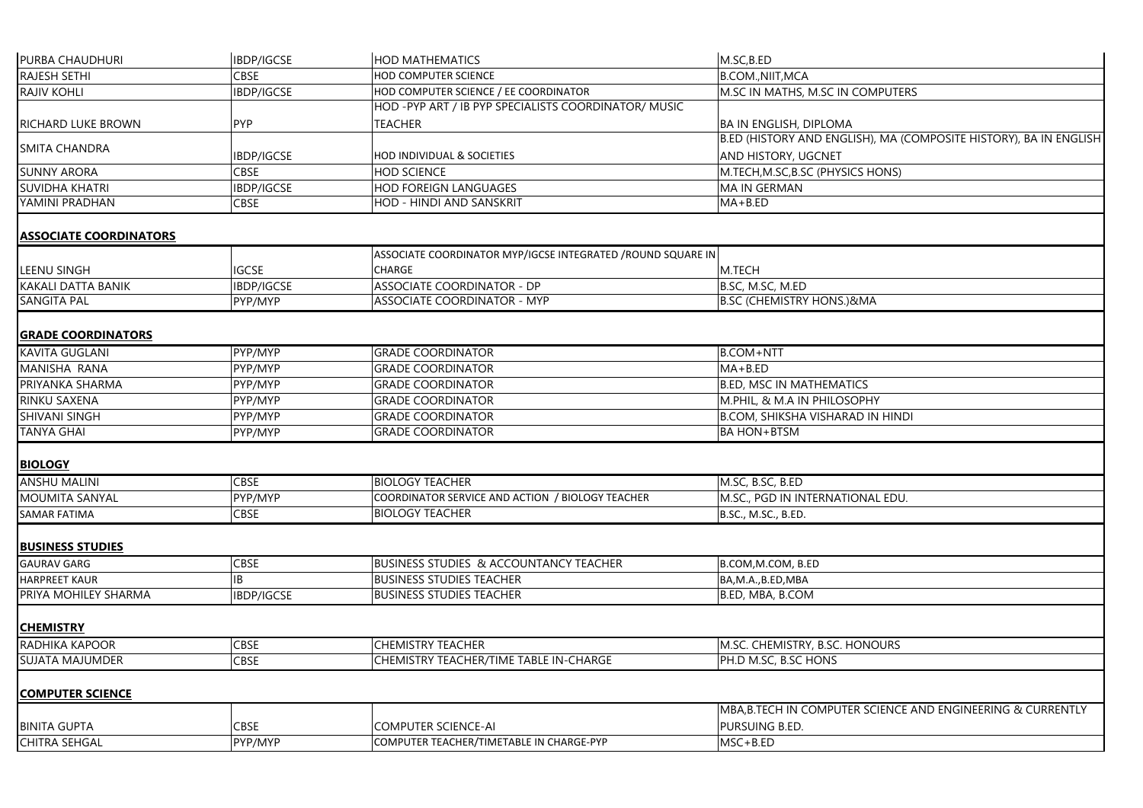| <b>PURBA CHAUDHURI</b>    | <b>IBDP/IGCSE</b> | <b>IHOD MATHEMATICS</b>                             | M.SC,BED                           |
|---------------------------|-------------------|-----------------------------------------------------|------------------------------------|
| <b>RAJESH SETHI</b>       | <b>CBSE</b>       | <b>HOD COMPUTER SCIENCE</b>                         | B.COM., NIIT, MCA                  |
| <b>RAJIV KOHLI</b>        | <b>IBDP/IGCSE</b> | HOD COMPUTER SCIENCE / EE COORDINATOR               | M.SC IN MATHS, M.SC IN COMPUTERS   |
|                           |                   | HOD-PYP ART / IB PYP SPECIALISTS COORDINATOR/ MUSIC |                                    |
| <b>RICHARD LUKE BROWN</b> | <b>PYP</b>        | <b>TEACHER</b>                                      | BA IN ENGLISH, DIPLOMA             |
|                           |                   |                                                     | B.ED (HISTORY AND ENGLISH), MA (CC |
| <b>SMITA CHANDRA</b>      | <b>IBDP/IGCSE</b> | <b>HOD INDIVIDUAL &amp; SOCIETIES</b>               | <b>AND HISTORY, UGCNET</b>         |
| <b>SUNNY ARORA</b>        | <b>CBSE</b>       | <b>HOD SCIENCE</b>                                  | M.TECH, M.SC, B.SC (PHYSICS HONS)  |
| <b>SUVIDHA KHATRI</b>     | <b>IBDP/IGCSE</b> | <b>HOD FOREIGN LANGUAGES</b>                        | MA IN GERMAN                       |
| YAMINI PRADHAN            | <b>CBSE</b>       | HOD - HINDI AND SANSKRIT                            | $MA + B.ED$                        |
|                           |                   |                                                     |                                    |

|                    |                   | ASSOCIATE COORDINATOR MYP/IGCSE INTEGRATED / ROUND SQUARE IN |                                      |
|--------------------|-------------------|--------------------------------------------------------------|--------------------------------------|
| LEENU SINGH        | <b>IIGCSE</b>     | <b>CHARGE</b>                                                | <b>IM.TECH</b>                       |
| KAKALI DATTA BANIK | <b>IBDP/IGCSE</b> | ASSOCIATE COORDINATOR - DP                                   | B.SC, M.SC, M.ED                     |
| <b>SANGITA PAL</b> | PYP/MYP           | <b>ASSOCIATE COORDINATOR - MYP</b>                           | <b>B.SC (CHEMISTRY HONS.)&amp;MA</b> |

#### **GRADE COORDINATORS**

| KAVITA GUGLANI       | <b>PYP/MYP</b> | <b>IGRADE COORDINATOR</b> | <b>IB.COM+NTT</b>                       |
|----------------------|----------------|---------------------------|-----------------------------------------|
| MANISHA RANA         | <b>PYP/MYP</b> | <b>GRADE COORDINATOR</b>  | $MA + B.ED$                             |
| PRIYANKA SHARMA      | <b>PYP/MYP</b> | <b>IGRADE COORDINATOR</b> | <b>B.ED, MSC IN MATHEMATICS</b>         |
| <b>RINKU SAXENA</b>  | <b>PYP/MYP</b> | <b>GRADE COORDINATOR</b>  | M.PHIL, & M.A IN PHILOSOPHY             |
| <b>SHIVANI SINGH</b> | <b>PYP/MYP</b> | <b>IGRADE COORDINATOR</b> | <b>B.COM, SHIKSHA VISHARAD IN HINDI</b> |
| <b>TANYA GHAI</b>    | <b>PYP/MYP</b> | <b>IGRADE COORDINATOR</b> | <b>IBA HON+BTSM</b>                     |

| <b>BA IN ENGLISH, DIPLOMA</b>                                     |
|-------------------------------------------------------------------|
| B.ED (HISTORY AND ENGLISH), MA (COMPOSITE HISTORY), BA IN ENGLISH |
| AND HISTORY, UGCNET                                               |
| M.TECH, M.SC, B.SC (PHYSICS HONS)                                 |
| <b>MA IN GERMAN</b>                                               |
| $MA + B.ED$                                                       |
|                                                                   |
|                                                                   |
| M.TECH                                                            |
| B.SC, M.SC, M.ED                                                  |
| <b>B.SC (CHEMISTRY HONS.)&amp;MA</b>                              |
|                                                                   |
| <b>B.COM+NTT</b>                                                  |
| $MA + B.ED$                                                       |
| <b>B.ED, MSC IN MATHEMATICS</b>                                   |
| M.PHIL, & M.A IN PHILOSOPHY                                       |
| <b>B.COM, SHIKSHA VISHARAD IN HINDI</b>                           |
| <b>BA HON+BTSM</b>                                                |
|                                                                   |
| M.SC, B.SC, B.ED                                                  |
| M.SC., PGD IN INTERNATIONAL EDU.                                  |
| B.SC., M.SC., B.ED.                                               |
|                                                                   |
| B.COM, M.COM, B.ED                                                |
| BA,M.A.,B.ED,MBA                                                  |
| B.ED, MBA, B.COM                                                  |
|                                                                   |
| M.SC. CHEMISTRY, B.SC. HONOURS                                    |
| PH.D M.SC, B.SC HONS                                              |
|                                                                   |
| MBA, B.TECH IN COMPUTER SCIENCE AND ENGINEERING & CURRENTLY       |
| PURSUING B.ED.                                                    |
|                                                                   |

### **BIOLOGY**

| <b>ANSHU MALINI</b>             | <b>CBSE</b>    | <b>BIOLOGY TEACHER</b>                              | D ED<br>$\sim$ $\sim$<br>IM.SC, B.SC, B.ED                                     |
|---------------------------------|----------------|-----------------------------------------------------|--------------------------------------------------------------------------------|
| <b>MOUMITA</b><br><b>SANYAL</b> | <b>PYP/MYP</b> | / BIOLOGY TEACHER<br>COORDINATOR SERVICE AND ACTION | <b>FNI</b><br>IM.SC.,<br><b>INTERNATIONAL</b><br><b>PGD</b><br>-INI<br>∵ ⊏LUU. |
| <b>SAMAR FATIMA</b>             | <b>ICBSE</b>   | <b>LOGY TEACHER</b><br><b>BIOI</b>                  | D EM<br>$1 \, \mathrm{c} \, \mathrm{c}$<br>IB.SC.,<br>IVI.JU D.E <i>U</i> .    |

| <b>GAURAV GARG</b>          | <b>CBSE</b>       | & ACCOUNTANCY TEACHER<br><b>STUDIES</b><br><b>IBUSINESS</b> | B.COM, M.COM, B.ED      |
|-----------------------------|-------------------|-------------------------------------------------------------|-------------------------|
| HARPREET<br><b>KAUR</b>     | IB                | <b>TEACHER</b><br><b>IBUSINESS</b><br>STUDIES               | BA,M.A.,B.ED,MBA        |
| <b>PRIYA MOHILEY SHARMA</b> | <b>IBDP/IGCSE</b> | S STUDIES TEACHER<br><b>IBUSINESS</b>                       | , B.COM<br>MBA,<br>B.ED |

# **CHEMISTRY**

| A KAPOOR<br>RADHIKA    | <b>CBSE</b> | <b>HEMISTRY TEACHER</b>                                                              | HONOURS<br>$R$ $C$<br><b>CHEMISTRY</b><br>IM.S<br>◡.◡◡. |
|------------------------|-------------|--------------------------------------------------------------------------------------|---------------------------------------------------------|
| <b>SUJATA MAJUMDER</b> | <b>CBSE</b> | -CHARGE<br><b>IABLE IN-C</b><br><b>HEMIS</b><br>EHER/<br>J FRY<br>TIME<br><b>EAC</b> | , B.SC HONS<br>IPF<br>M.SC.<br>╹╹╸┙                     |

|                         |                |                                          | <b>IMBA, B.TECH IN COMPUTER 9</b> |
|-------------------------|----------------|------------------------------------------|-----------------------------------|
| <b>BINITA GUPTA</b>     | <b>CBSE</b>    | <b>COMPUTER SCIENCE-AI</b>               | <b>PURSUING B.ED.</b>             |
| SEHGAL<br><b>CHITRA</b> | <b>PYP/MYP</b> | COMPUTER TEACHER/TIMETABLE IN CHARGE-PYP | $-+B.ED$<br><b>IMSC</b>           |

| )MPUTERS |  |  |  |
|----------|--|--|--|
|          |  |  |  |

### **ASSOCIATE COORDINATORS**

### **BUSINESS STUDIES**

### **COMPUTER SCIENCE**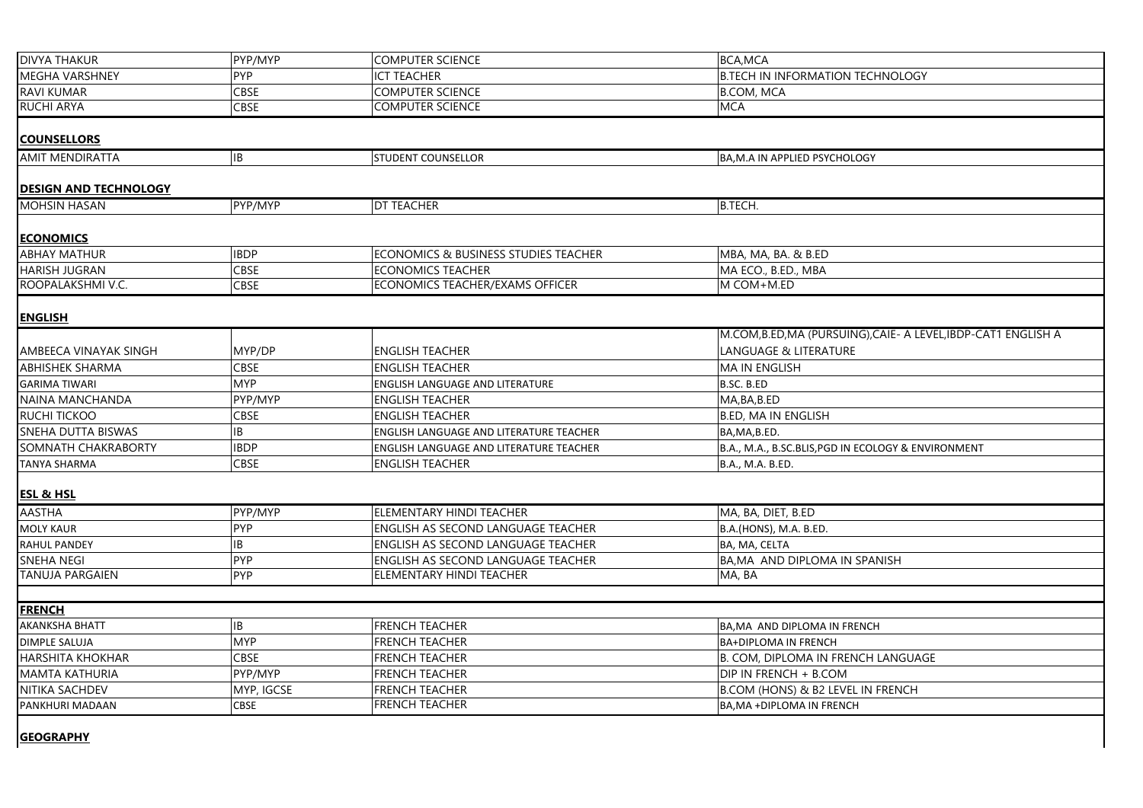| <b>BCA, MCA</b>                                                         |
|-------------------------------------------------------------------------|
| <b>B.TECH IN INFORMATION TECHNOLOGY</b>                                 |
| <b>B.COM, MCA</b>                                                       |
| <b>MCA</b>                                                              |
|                                                                         |
|                                                                         |
| BA, M.A IN APPLIED PSYCHOLOGY                                           |
|                                                                         |
|                                                                         |
| <b>B.TECH.</b>                                                          |
|                                                                         |
|                                                                         |
| MBA, MA, BA. & B.ED                                                     |
| MA ECO., B.ED., MBA                                                     |
| M COM+M.ED                                                              |
|                                                                         |
| M.COM, B.ED, MA (PURSUING), CAIE- A LEVEL, IBDP-CAT1 ENGLISH A          |
| <b>LANGUAGE &amp; LITERATURE</b>                                        |
| <b>MA IN ENGLISH</b>                                                    |
| <b>B.SC. B.ED</b>                                                       |
|                                                                         |
| MA, BA, B.ED<br><b>B.ED, MA IN ENGLISH</b>                              |
|                                                                         |
| BA, MA, B.ED.                                                           |
| B.A., M.A., B.SC.BLIS, PGD IN ECOLOGY & ENVIRONMENT<br>B.A., M.A. B.ED. |
|                                                                         |
|                                                                         |
| MA, BA, DIET, B.ED                                                      |
| B.A.(HONS), M.A. B.ED.                                                  |
| BA, MA, CELTA                                                           |
| BA, MA AND DIPLOMA IN SPANISH                                           |
| MA, BA                                                                  |
|                                                                         |
|                                                                         |
| BA, MA AND DIPLOMA IN FRENCH                                            |
| <b>BA+DIPLOMA IN FRENCH</b>                                             |
| <b>B. COM, DIPLOMA IN FRENCH LANGUAGE</b>                               |
| DIP IN FRENCH + B.COM                                                   |
| <b>B.COM (HONS) &amp; B2 LEVEL IN FRENCH</b>                            |
| BA, MA + DIPLOMA IN FRENCH                                              |
|                                                                         |

| <b>DIVYA THAKUR</b>          | PYP/MYP     | <b>COMPUTER SCIENCE</b>                         | <b>BCA,MCA</b>                                      |
|------------------------------|-------------|-------------------------------------------------|-----------------------------------------------------|
| <b>MEGHA VARSHNEY</b>        | <b>PYP</b>  | <b>ICT TEACHER</b>                              | <b>B.TECH IN INFORMATION TECHNOLOGY</b>             |
| <b>RAVI KUMAR</b>            | CBSE        | <b>COMPUTER SCIENCE</b>                         | <b>B.COM, MCA</b>                                   |
| <b>RUCHI ARYA</b>            | <b>CBSE</b> | <b>COMPUTER SCIENCE</b>                         | <b>MCA</b>                                          |
|                              |             |                                                 |                                                     |
| <b>COUNSELLORS</b>           |             |                                                 |                                                     |
| <b>AMIT MENDIRATTA</b>       | $\vert$ IB  | <b>STUDENT COUNSELLOR</b>                       | <b>BA, M.A IN APPLIED PSYCHOLOGY</b>                |
| <b>DESIGN AND TECHNOLOGY</b> |             |                                                 |                                                     |
| <b>MOHSIN HASAN</b>          | PYP/MYP     | <b>DT TEACHER</b>                               | <b>B.TECH.</b>                                      |
|                              |             |                                                 |                                                     |
| <b>ECONOMICS</b>             |             |                                                 |                                                     |
| <b>ABHAY MATHUR</b>          | <b>IBDP</b> | <b>ECONOMICS &amp; BUSINESS STUDIES TEACHER</b> | MBA, MA, BA. & B.ED                                 |
| <b>HARISH JUGRAN</b>         | CBSE        | <b>ECONOMICS TEACHER</b>                        | MA ECO., B.ED., MBA                                 |
| ROOPALAKSHMI V.C.            | CBSE        | <b>ECONOMICS TEACHER/EXAMS OFFICER</b>          | M COM+M.ED                                          |
|                              |             |                                                 |                                                     |
| <b>ENGLISH</b>               |             |                                                 |                                                     |
|                              |             |                                                 | M.COM, B.ED, MA (PURSUING), CAIE-A LEVEL, IBDP-C    |
| <b>AMBEECA VINAYAK SINGH</b> | MYP/DP      | <b>ENGLISH TEACHER</b>                          | LANGUAGE & LITERATURE                               |
| <b>ABHISHEK SHARMA</b>       | <b>CBSE</b> | <b>ENGLISH TEACHER</b>                          | <b>MA IN ENGLISH</b>                                |
| <b>GARIMA TIWARI</b>         | <b>MYP</b>  | <b>ENGLISH LANGUAGE AND LITERATURE</b>          | B.SC. B.ED                                          |
| NAINA MANCHANDA              | PYP/MYP     | <b>ENGLISH TEACHER</b>                          | MA, BA, B.ED                                        |
| <b>RUCHI TICKOO</b>          | CBSE        | <b>ENGLISH TEACHER</b>                          | <b>B.ED, MA IN ENGLISH</b>                          |
| <b>SNEHA DUTTA BISWAS</b>    | IB          | <b>ENGLISH LANGUAGE AND LITERATURE TEACHER</b>  | BA, MA, B.ED.                                       |
| <b>SOMNATH CHAKRABORTY</b>   | <b>IBDP</b> | <b>ENGLISH LANGUAGE AND LITERATURE TEACHER</b>  | B.A., M.A., B.SC.BLIS, PGD IN ECOLOGY & ENVIRONMENT |
| <b>TANYA SHARMA</b>          | <b>CBSE</b> | <b>ENGLISH TEACHER</b>                          | B.A., M.A. B.ED.                                    |
| <b>ESL &amp; HSL</b>         |             |                                                 |                                                     |
| <b>AASTHA</b>                | PYP/MYP     | <b>ELEMENTARY HINDI TEACHER</b>                 | MA, BA, DIET, B.ED                                  |
| <b>MOLY KAUR</b>             | <b>PYP</b>  | <b>ENGLISH AS SECOND LANGUAGE TEACHER</b>       | B.A.(HONS), M.A. B.ED.                              |
| <b>RAHUL PANDEY</b>          | IB          | <b>ENGLISH AS SECOND LANGUAGE TEACHER</b>       | BA, MA, CELTA                                       |
| <b>SNEHA NEGI</b>            | PYP         | <b>IENGLISH AS SECOND LANGUAGE TEACHER</b>      | <b>BA, MA AND DIPLOMA IN SPANISH</b>                |
| <b>TANUJA PARGAIEN</b>       | <b>PYP</b>  | ELEMENTARY HINDI TEACHER                        | MA, BA                                              |
|                              |             |                                                 |                                                     |
| <b>FRENCH</b>                |             |                                                 |                                                     |
| <b>AKANKSHA BHATT</b>        | <b>IB</b>   | <b>FRENCH TEACHER</b>                           | <b>BA, MA AND DIPLOMA IN FRENCH</b>                 |
| <b>DIMPLE SALUJA</b>         | <b>MYP</b>  | <b>FRENCH TEACHER</b>                           | <b>BA+DIPLOMA IN FRENCH</b>                         |
| <b>HARSHITA KHOKHAR</b>      | <b>CBSE</b> | <b>FRENCH TEACHER</b>                           | B. COM, DIPLOMA IN FRENCH LANGUAGE                  |
| <b>MAMTA KATHURIA</b>        | PYP/MYP     | <b>FRENCH TEACHER</b>                           | <b>DIP IN FRENCH + B.COM</b>                        |
| NITIKA SACHDEV               | MYP, IGCSE  | <b>FRENCH TEACHER</b>                           | B.COM (HONS) & B2 LEVEL IN FRENCH                   |
|                              |             |                                                 |                                                     |

**GEOGRAPHY**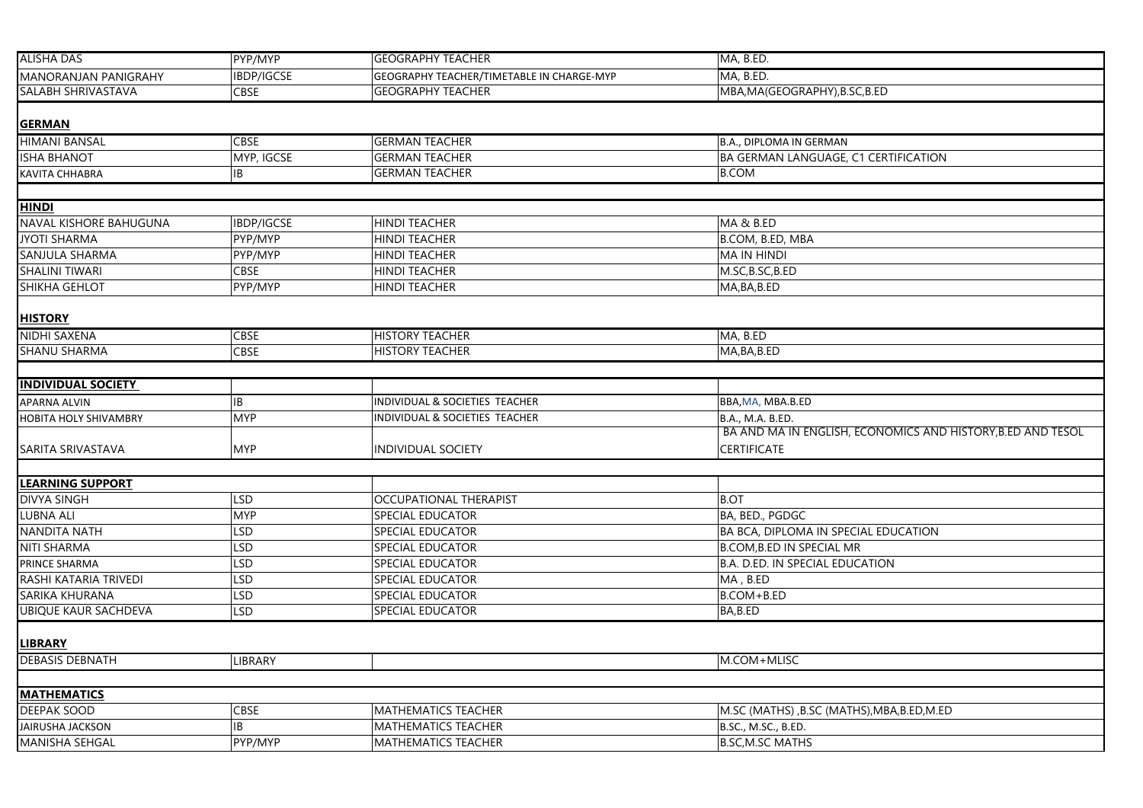| <b>ALISHA DAS</b>            | PYP/MYP           | <b>GEOGRAPHY TEACHER</b>                  | MA, B.ED.                                   |
|------------------------------|-------------------|-------------------------------------------|---------------------------------------------|
| <b>MANORANJAN PANIGRAHY</b>  | <b>IBDP/IGCSE</b> | GEOGRAPHY TEACHER/TIMETABLE IN CHARGE-MYP | MA, B.ED.                                   |
| SALABH SHRIVASTAVA           | <b>CBSE</b>       | <b>GEOGRAPHY TEACHER</b>                  | MBA, MA (GEOGRAPHY), B.SC, B.ED             |
| <b>GERMAN</b>                |                   |                                           |                                             |
| <b>HIMANI BANSAL</b>         | <b>CBSE</b>       | <b>GERMAN TEACHER</b>                     | B.A., DIPLOMA IN GERMAN                     |
| <b>ISHA BHANOT</b>           | MYP, IGCSE        | <b>GERMAN TEACHER</b>                     | BA GERMAN LANGUAGE, C1 CERTIFICATION        |
| <b>KAVITA CHHABRA</b>        | <b>IB</b>         | <b>GERMAN TEACHER</b>                     | <b>B.COM</b>                                |
|                              |                   |                                           |                                             |
| <b>HINDI</b>                 |                   |                                           |                                             |
| NAVAL KISHORE BAHUGUNA       | <b>IBDP/IGCSE</b> | <b>HINDI TEACHER</b>                      | MA & B.ED                                   |
| <b>JYOTI SHARMA</b>          | PYP/MYP           | <b>HINDI TEACHER</b>                      | B.COM, B.ED, MBA                            |
| SANJULA SHARMA               | PYP/MYP           | <b>HINDI TEACHER</b>                      | MA IN HINDI                                 |
| <b>SHALINI TIWARI</b>        | CBSE              | <b>HINDI TEACHER</b>                      | M.SC, B.SC, B.ED                            |
| SHIKHA GEHLOT                | PYP/MYP           | <b>HINDI TEACHER</b>                      | MA, BA, B.ED                                |
| <b>HISTORY</b>               |                   |                                           |                                             |
| NIDHI SAXENA                 | CBSE              | <b>HISTORY TEACHER</b>                    | MA, B.ED                                    |
| <b>SHANU SHARMA</b>          | <b>CBSE</b>       | <b>HISTORY TEACHER</b>                    | MA, BA, B.ED                                |
|                              |                   |                                           |                                             |
| <b>INDIVIDUAL SOCIETY</b>    |                   |                                           |                                             |
| <b>APARNA ALVIN</b>          | IB                | INDIVIDUAL & SOCIETIES TEACHER            | BBA, MA, MBA.B.ED                           |
| <b>HOBITA HOLY SHIVAMBRY</b> | <b>MYP</b>        | INDIVIDUAL & SOCIETIES TEACHER            | B.A., M.A. B.ED.                            |
|                              |                   |                                           | BA AND MA IN ENGLISH, ECONOMICS AND         |
| <b>SARITA SRIVASTAVA</b>     | <b>MYP</b>        | <b>INDIVIDUAL SOCIETY</b>                 | <b>CERTIFICATE</b>                          |
| <b>LEARNING SUPPORT</b>      |                   |                                           |                                             |
| <b>DIVYA SINGH</b>           | <b>LSD</b>        | OCCUPATIONAL THERAPIST                    | B.OT                                        |
| LUBNA ALI                    | <b>MYP</b>        | <b>SPECIAL EDUCATOR</b>                   | BA, BED., PGDGC                             |
| NANDITA NATH                 | LSD               | <b>SPECIAL EDUCATOR</b>                   | <b>BA BCA, DIPLOMA IN SPECIAL EDUCATION</b> |
| <b>NITI SHARMA</b>           | <b>LSD</b>        | <b>SPECIAL EDUCATOR</b>                   | B.COM, B.ED IN SPECIAL MR                   |
| PRINCE SHARMA                | LSD               | <b>SPECIAL EDUCATOR</b>                   | B.A. D.ED. IN SPECIAL EDUCATION             |
| <b>RASHI KATARIA TRIVEDI</b> | <b>LSD</b>        | <b>SPECIAL EDUCATOR</b>                   | $MA$ , B.ED                                 |
| <b>SARIKA KHURANA</b>        | <b>LSD</b>        | <b>SPECIAL EDUCATOR</b>                   | $B$ .COM + B.ED                             |
| UBIQUE KAUR SACHDEVA         | <b>LSD</b>        | <b>SPECIAL EDUCATOR</b>                   | BA, B.ED                                    |
|                              |                   |                                           |                                             |
| <b>LIBRARY</b>               |                   |                                           |                                             |
| <b>DEBASIS DEBNATH</b>       | <b>LIBRARY</b>    |                                           | M.COM+MLISC                                 |
| <b>MATHEMATICS</b>           |                   |                                           |                                             |
| <b>DEEPAK SOOD</b>           | CBSE              | <b>MATHEMATICS TEACHER</b>                | M.SC (MATHS), B.SC (MATHS), MBA, B.ED, M.ED |
| <b>JAIRUSHA JACKSON</b>      | IB                | <b>MATHEMATICS TEACHER</b>                | B.SC., M.SC., B.ED.                         |
| <b>MANISHA SEHGAL</b>        | PYP/MYP           | <b>MATHEMATICS TEACHER</b>                | B.SC, M.SC MATHS                            |
|                              |                   |                                           |                                             |

| MA, B.ED.                                                   |
|-------------------------------------------------------------|
| MA, B.ED.                                                   |
| MBA, MA (GEOGRAPHY), B.SC, B.ED                             |
|                                                             |
| B.A., DIPLOMA IN GERMAN                                     |
| BA GERMAN LANGUAGE, C1 CERTIFICATION                        |
| <b>B.COM</b>                                                |
|                                                             |
|                                                             |
| MA & B.ED                                                   |
| B.COM, B.ED, MBA                                            |
| <b>MA IN HINDI</b>                                          |
| M.SC, B.SC, B.ED                                            |
| MA, BA, B.ED                                                |
|                                                             |
| MA, B.ED                                                    |
| MA, BA, B.ED                                                |
|                                                             |
|                                                             |
| BBA, MA, MBA.B.ED                                           |
| B.A., M.A. B.ED.                                            |
| BA AND MA IN ENGLISH, ECONOMICS AND HISTORY, B.ED AND TESOL |
| <b>CERTIFICATE</b>                                          |
|                                                             |
| <b>B.OT</b>                                                 |
| BA, BED., PGDGC                                             |
| BA BCA, DIPLOMA IN SPECIAL EDUCATION                        |
| <b>B.COM, B.ED IN SPECIAL MR</b>                            |
| <b>B.A. D.ED. IN SPECIAL EDUCATION</b>                      |
| MA, B.ED                                                    |
| B.COM+B.ED                                                  |
| BA, B.ED                                                    |
|                                                             |
| M.COM+MLISC                                                 |
|                                                             |
|                                                             |
| M.SC (MATHS), B.SC (MATHS), MBA, B.ED, M.ED                 |
| B.SC., M.SC., B.ED.                                         |
| <b>B.SC, M.SC MATHS</b>                                     |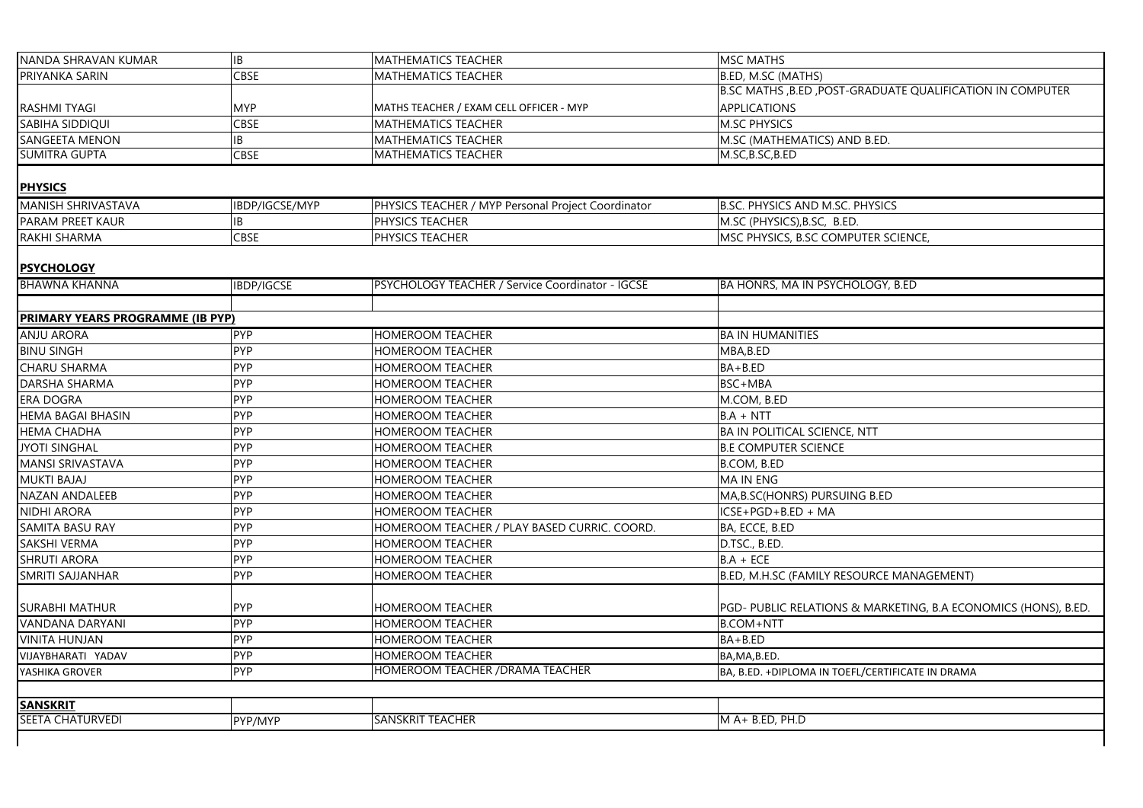| B.ED, M.H.SC (FAMILY RESOURCE MANAGEMENT)<br>PGD- PUBLIC RELATIONS & MARKETING, B.A ECONOMICS (HONS), B.ED. | טו ווויוויט שטויו                                         |
|-------------------------------------------------------------------------------------------------------------|-----------------------------------------------------------|
|                                                                                                             | B.ED, M.SC (MATHS)                                        |
|                                                                                                             | B.SC MATHS, B.ED, POST-GRADUATE QUALIFICATION IN COMPUTER |
|                                                                                                             | <b>APPLICATIONS</b>                                       |
|                                                                                                             | <b>M.SC PHYSICS</b>                                       |
|                                                                                                             | M.SC (MATHEMATICS) AND B.ED.                              |
|                                                                                                             | M.SC, B.SC, B.ED                                          |
|                                                                                                             |                                                           |
|                                                                                                             |                                                           |
|                                                                                                             | <b>B.SC. PHYSICS AND M.SC. PHYSICS</b>                    |
|                                                                                                             | M.SC (PHYSICS), B.SC, B.ED.                               |
|                                                                                                             | MSC PHYSICS, B.SC COMPUTER SCIENCE,                       |
|                                                                                                             |                                                           |
|                                                                                                             |                                                           |
|                                                                                                             | BA HONRS, MA IN PSYCHOLOGY, B.ED                          |
|                                                                                                             |                                                           |
|                                                                                                             |                                                           |
|                                                                                                             | <b>BA IN HUMANITIES</b>                                   |
|                                                                                                             | MBA, B.ED                                                 |
|                                                                                                             | BA+B.ED                                                   |
|                                                                                                             | BSC+MBA                                                   |
|                                                                                                             | M.COM, B.ED                                               |
|                                                                                                             | $BA + NTT$                                                |
|                                                                                                             | <b>BA IN POLITICAL SCIENCE, NTT</b>                       |
|                                                                                                             | <b>B.E COMPUTER SCIENCE</b>                               |
|                                                                                                             | <b>B.COM, B.ED</b>                                        |
|                                                                                                             | <b>MA IN ENG</b>                                          |
|                                                                                                             | MA, B.SC(HONRS) PURSUING B.ED                             |
|                                                                                                             | ICSE+PGD+B.ED + MA                                        |
|                                                                                                             | BA, ECCE, B.ED                                            |
|                                                                                                             | D.TSC., B.ED.                                             |
|                                                                                                             | $BA + ECE$                                                |
|                                                                                                             |                                                           |
|                                                                                                             |                                                           |
|                                                                                                             |                                                           |
|                                                                                                             | <b>B.COM+NTT</b>                                          |
|                                                                                                             | BA+B.ED                                                   |
|                                                                                                             | BA, MA, B.ED.                                             |
|                                                                                                             | BA, B.ED. +DIPLOMA IN TOEFL/CERTIFICATE IN DRAMA          |
|                                                                                                             |                                                           |
|                                                                                                             |                                                           |
|                                                                                                             | M A+ B.ED, PH.D                                           |
|                                                                                                             |                                                           |
|                                                                                                             |                                                           |

| NANDA SHRAVAN KUMAR              | IB                | <b>MATHEMATICS TEACHER</b>                         | <b>MSC MATHS</b>                                 |
|----------------------------------|-------------------|----------------------------------------------------|--------------------------------------------------|
| PRIYANKA SARIN                   | <b>CBSE</b>       | <b>MATHEMATICS TEACHER</b>                         | B.ED, M.SC (MATHS)                               |
|                                  |                   |                                                    | B.SC MATHS, B.ED, POST-GRADUATE QUALIFICAT       |
| <b>RASHMI TYAGI</b>              | <b>MYP</b>        | MATHS TEACHER / EXAM CELL OFFICER - MYP            | <b>APPLICATIONS</b>                              |
| <b>SABIHA SIDDIQUI</b>           | <b>CBSE</b>       | <b>MATHEMATICS TEACHER</b>                         | <b>M.SC PHYSICS</b>                              |
| SANGEETA MENON                   | IB                | <b>MATHEMATICS TEACHER</b>                         | M.SC (MATHEMATICS) AND B.ED.                     |
| <b>SUMITRA GUPTA</b>             | <b>CBSE</b>       | <b>MATHEMATICS TEACHER</b>                         | M.SC, B.SC, B.ED                                 |
| <b>PHYSICS</b>                   |                   |                                                    |                                                  |
| <b>MANISH SHRIVASTAVA</b>        | IBDP/IGCSE/MYP    | PHYSICS TEACHER / MYP Personal Project Coordinator | <b>B.SC. PHYSICS AND M.SC. PHYSICS</b>           |
| <b>PARAM PREET KAUR</b>          | IB                | <b>PHYSICS TEACHER</b>                             | M.SC (PHYSICS), B.SC, B.ED.                      |
| RAKHI SHARMA                     | <b>CBSE</b>       | <b>PHYSICS TEACHER</b>                             | MSC PHYSICS, B.SC COMPUTER SCIENCE,              |
| <b>PSYCHOLOGY</b>                |                   |                                                    |                                                  |
| <b>BHAWNA KHANNA</b>             | <b>IBDP/IGCSE</b> | PSYCHOLOGY TEACHER / Service Coordinator - IGCSE   | <b>BA HONRS, MA IN PSYCHOLOGY, B.ED</b>          |
| PRIMARY YEARS PROGRAMME (IB PYP) |                   |                                                    |                                                  |
| <b>ANJU ARORA</b>                | <b>PYP</b>        | <b>HOMEROOM TEACHER</b>                            | <b>BA IN HUMANITIES</b>                          |
| <b>BINU SINGH</b>                | <b>PYP</b>        | <b>HOMEROOM TEACHER</b>                            | MBA,B.ED                                         |
| <b>CHARU SHARMA</b>              | <b>PYP</b>        | <b>HOMEROOM TEACHER</b>                            | BA+B.ED                                          |
| DARSHA SHARMA                    | PYP               | <b>HOMEROOM TEACHER</b>                            | <b>BSC+MBA</b>                                   |
| ERA DOGRA                        | <b>PYP</b>        | <b>HOMEROOM TEACHER</b>                            | M.COM, B.ED                                      |
| HEMA BAGAI BHASIN                | <b>PYP</b>        | <b>HOMEROOM TEACHER</b>                            | $BA + NTT$                                       |
| <b>HEMA CHADHA</b>               | <b>PYP</b>        | <b>HOMEROOM TEACHER</b>                            | <b>BA IN POLITICAL SCIENCE, NTT</b>              |
| <b>JYOTI SINGHAL</b>             | <b>PYP</b>        | <b>HOMEROOM TEACHER</b>                            | <b>B.E COMPUTER SCIENCE</b>                      |
| <b>MANSI SRIVASTAVA</b>          | <b>PYP</b>        | <b>HOMEROOM TEACHER</b>                            | B.COM, B.ED                                      |
| <b>MUKTI BAJAJ</b>               | <b>PYP</b>        | <b>HOMEROOM TEACHER</b>                            | MA IN ENG                                        |
| <b>NAZAN ANDALEEB</b>            | <b>PYP</b>        | <b>HOMEROOM TEACHER</b>                            | MA, B.SC (HONRS) PURSUING B.ED                   |
| <b>NIDHI ARORA</b>               | <b>PYP</b>        | <b>HOMEROOM TEACHER</b>                            | ICSE+PGD+B.ED + MA                               |
| <b>SAMITA BASU RAY</b>           | PYP               | HOMEROOM TEACHER / PLAY BASED CURRIC. COORD.       | BA, ECCE, B.ED                                   |
| SAKSHI VERMA                     | <b>PYP</b>        | <b>HOMEROOM TEACHER</b>                            | D.TSC., B.ED.                                    |
| <b>SHRUTI ARORA</b>              | <b>PYP</b>        | <b>HOMEROOM TEACHER</b>                            | $BA + ECE$                                       |
| <b>SMRITI SAJJANHAR</b>          | <b>PYP</b>        | <b>HOMEROOM TEACHER</b>                            | B.ED, M.H.SC (FAMILY RESOURCE MANAGEMENT)        |
|                                  |                   |                                                    |                                                  |
| <b>SURABHI MATHUR</b>            | <b>PYP</b>        | <b>HOMEROOM TEACHER</b>                            | PGD- PUBLIC RELATIONS & MARKETING, B.A ECO       |
| VANDANA DARYANI                  | <b>PYP</b>        | <b>HOMEROOM TEACHER</b>                            | B.COM+NTT                                        |
| VINITA HUNJAN                    | <b>PYP</b>        | <b>HOMEROOM TEACHER</b>                            | BA+B.ED                                          |
| VIJAYBHARATI YADAV               | <b>PYP</b>        | <b>HOMEROOM TEACHER</b>                            | BA, MA, B.ED.                                    |
| YASHIKA GROVER                   | <b>PYP</b>        | HOMEROOM TEACHER / DRAMA TEACHER                   | BA, B.ED. +DIPLOMA IN TOEFL/CERTIFICATE IN DRAM/ |
|                                  |                   |                                                    |                                                  |
|                                  |                   |                                                    |                                                  |
| <b>SANSKRIT</b>                  |                   |                                                    |                                                  |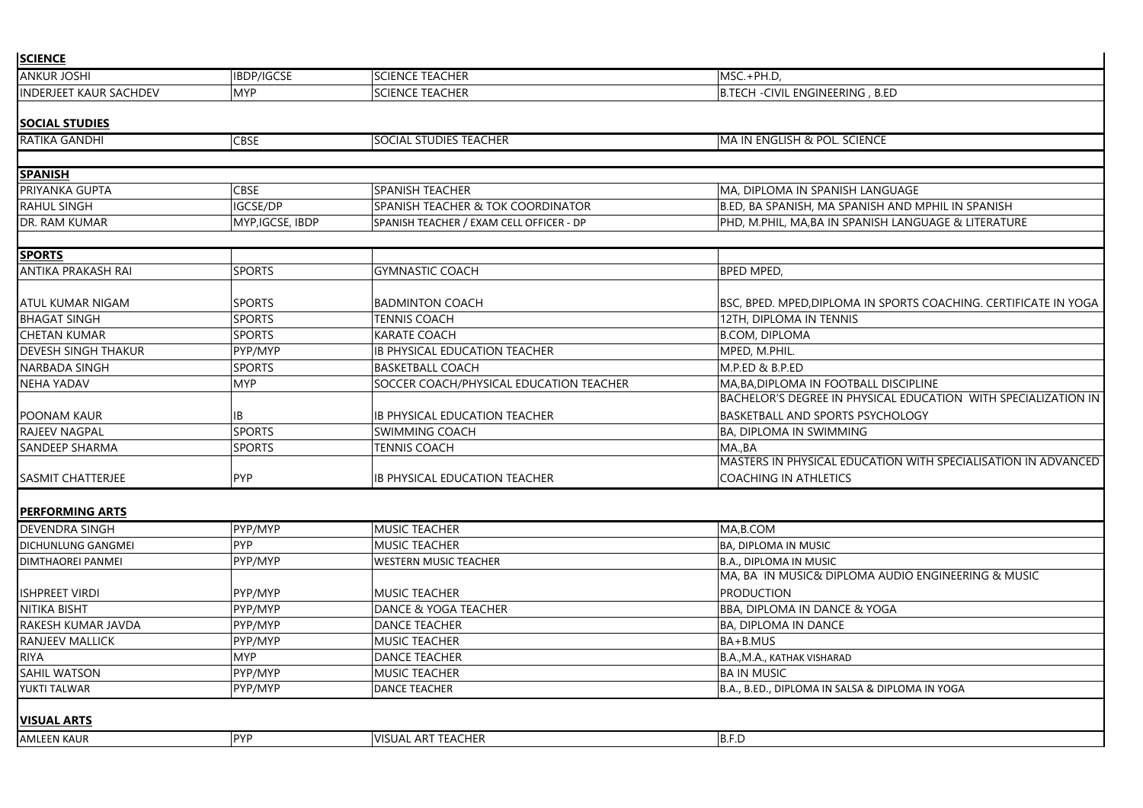| <b>SCIENCE</b>                |                   |                                          |                                            |
|-------------------------------|-------------------|------------------------------------------|--------------------------------------------|
| <b>ANKUR JOSHI</b>            | <b>IBDP/IGCSE</b> | <b>SCIENCE TEACHER</b>                   | $MSC.+PH.D,$                               |
| <b>INDERJEET KAUR SACHDEV</b> | <b>MYP</b>        | <b>SCIENCE TEACHER</b>                   | <b>B.TECH -CIVIL ENGINEERING, B.ED</b>     |
| <b>SOCIAL STUDIES</b>         |                   |                                          |                                            |
| <b>RATIKA GANDHI</b>          | <b>CBSE</b>       | <b>SOCIAL STUDIES TEACHER</b>            | MA IN ENGLISH & POL. SCIENCE               |
|                               |                   |                                          |                                            |
| <b>SPANISH</b>                |                   |                                          |                                            |
| PRIYANKA GUPTA                | <b>CBSE</b>       | <b>SPANISH TEACHER</b>                   | <b>MA, DIPLOMA IN SPANISH LANGUAGE</b>     |
| <b>RAHUL SINGH</b>            | <b>IGCSE/DP</b>   | SPANISH TEACHER & TOK COORDINATOR        | B.ED, BA SPANISH, MA SPANISH AND MPH       |
| DR. RAM KUMAR                 | MYP, IGCSE, IBDP  | SPANISH TEACHER / EXAM CELL OFFICER - DP | PHD, M.PHIL, MA,BA IN SPANISH LANGUA       |
|                               |                   |                                          |                                            |
| <b>SPORTS</b>                 |                   |                                          |                                            |
| <b>ANTIKA PRAKASH RAI</b>     | <b>SPORTS</b>     | <b>GYMNASTIC COACH</b>                   | <b>BPED MPED,</b>                          |
| <b>ATUL KUMAR NIGAM</b>       | <b>SPORTS</b>     | <b>BADMINTON COACH</b>                   | BSC, BPED. MPED, DIPLOMA IN SPORTS CO      |
| <b>BHAGAT SINGH</b>           | <b>SPORTS</b>     | <b>TENNIS COACH</b>                      | 12TH, DIPLOMA IN TENNIS                    |
| <b>CHETAN KUMAR</b>           | <b>SPORTS</b>     | <b>KARATE COACH</b>                      | <b>B.COM, DIPLOMA</b>                      |
| <b>DEVESH SINGH THAKUR</b>    | PYP/MYP           | <b>IB PHYSICAL EDUCATION TEACHER</b>     | MPED, M.PHIL.                              |
| <b>NARBADA SINGH</b>          | <b>SPORTS</b>     | <b>BASKETBALL COACH</b>                  | M.P.ED & B.P.ED                            |
| <b>NEHA YADAV</b>             | <b>MYP</b>        | SOCCER COACH/PHYSICAL EDUCATION TEACHER  | MA, BA, DIPLOMA IN FOOTBALL DISCIPLINE     |
|                               |                   |                                          | BACHELOR'S DEGREE IN PHYSICAL EDUCA        |
| <b>POONAM KAUR</b>            | ΙB                | <b>IB PHYSICAL EDUCATION TEACHER</b>     | BASKETBALL AND SPORTS PSYCHOLOGY           |
| RAJEEV NAGPAL                 | <b>SPORTS</b>     | <b>SWIMMING COACH</b>                    | BA, DIPLOMA IN SWIMMING                    |
| <b>SANDEEP SHARMA</b>         | <b>SPORTS</b>     | <b>TENNIS COACH</b>                      | MA., BA                                    |
|                               |                   |                                          | <b>MASTERS IN PHYSICAL EDUCATION WITH</b>  |
| <b>SASMIT CHATTERJEE</b>      | <b>PYP</b>        | <b>IB PHYSICAL EDUCATION TEACHER</b>     | COACHING IN ATHLETICS                      |
| <b>PERFORMING ARTS</b>        |                   |                                          |                                            |
| <b>DEVENDRA SINGH</b>         | PYP/MYP           | <b>MUSIC TEACHER</b>                     | MA, B.COM                                  |
| DICHUNLUNG GANGMEI            | <b>PYP</b>        | <b>MUSIC TEACHER</b>                     | <b>BA, DIPLOMA IN MUSIC</b>                |
| DIMTHAOREI PANMEI             | PYP/MYP           | <b>WESTERN MUSIC TEACHER</b>             | B.A., DIPLOMA IN MUSIC                     |
|                               |                   |                                          | MA, BA IN MUSIC& DIPLOMA AUDIO ENG         |
| <b>ISHPREET VIRDI</b>         | PYP/MYP           | <b>IMUSIC TEACHER</b>                    | <b>PRODUCTION</b>                          |
| <b>NITIKA BISHT</b>           | PYP/MYP           | <b>DANCE &amp; YOGA TEACHER</b>          | BBA, DIPLOMA IN DANCE & YOGA               |
| RAKESH KUMAR JAVDA            | PYP/MYP           | <b>DANCE TEACHER</b>                     | <b>BA, DIPLOMA IN DANCE</b>                |
| <b>RANJEEV MALLICK</b>        | PYP/MYP           | <b>MUSIC TEACHER</b>                     | BA+B.MUS                                   |
| <b>RIYA</b>                   | <b>MYP</b>        | <b>DANCE TEACHER</b>                     | B.A., M.A., KATHAK VISHARAD                |
| SAHIL WATSON                  | PYP/MYP           | <b>MUSIC TEACHER</b>                     | <b>BA IN MUSIC</b>                         |
| YUKTI TALWAR                  | PYP/MYP           | <b>DANCE TEACHER</b>                     | B.A., B.ED., DIPLOMA IN SALSA & DIPLOMA IN |
| <b>VISUAL ARTS</b>            |                   |                                          |                                            |
| <b>AMLEEN KAUR</b>            | <b>PYP</b>        | <b>VISUAL ART TEACHER</b>                | B.F.D                                      |
|                               |                   |                                          |                                            |

RAHUL IN SPANISH IGCS ANISH LANGUAGE & LITERATURE

ATIN SPORTS COACHING. CERTIFICATE IN YOGA

**BACHELORY CONTROLS AND IN PHYSICAL EDUCATION WITH SPECIALIZATION IN** PSYCHOLOGY

**JCATION WITH SPECIALISATION IN ADVANCED** 

MA AUDIO ENGINEERING & MUSIC

A & DIPLOMA IN YOGA